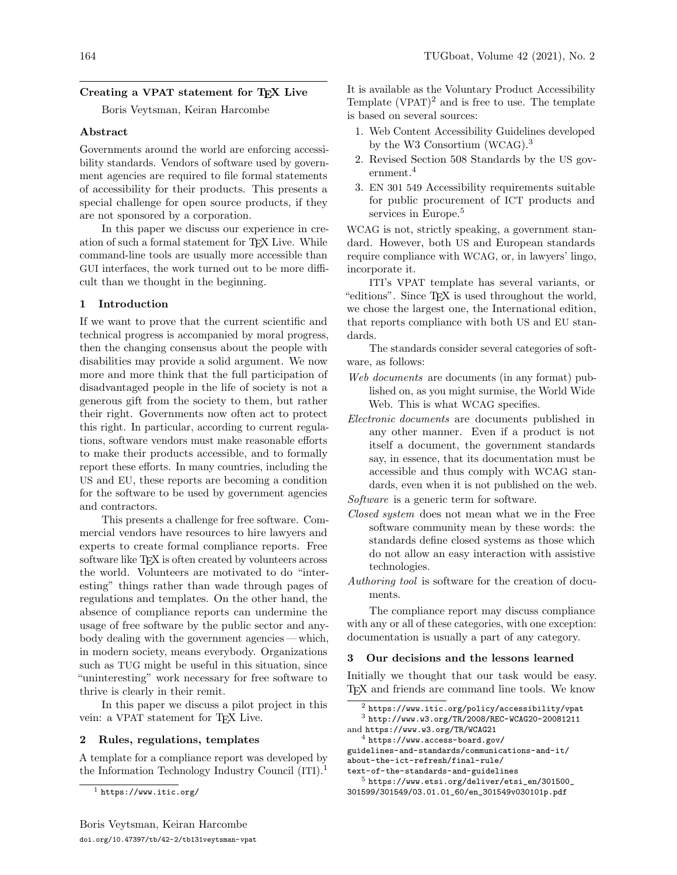# Creating a VPAT statement for T<sub>F</sub>X Live

Boris Veytsman, Keiran Harcombe

### Abstract

Governments around the world are enforcing accessibility standards. Vendors of software used by government agencies are required to file formal statements of accessibility for their products. This presents a special challenge for open source products, if they are not sponsored by a corporation.

In this paper we discuss our experience in creation of such a formal statement for TEX Live. While command-line tools are usually more accessible than GUI interfaces, the work turned out to be more difficult than we thought in the beginning.

## 1 Introduction

If we want to prove that the current scientific and technical progress is accompanied by moral progress, then the changing consensus about the people with disabilities may provide a solid argument. We now more and more think that the full participation of disadvantaged people in the life of society is not a generous gift from the society to them, but rather their right. Governments now often act to protect this right. In particular, according to current regulations, software vendors must make reasonable efforts to make their products accessible, and to formally report these efforts. In many countries, including the US and EU, these reports are becoming a condition for the software to be used by government agencies and contractors.

This presents a challenge for free software. Commercial vendors have resources to hire lawyers and experts to create formal compliance reports. Free software like T<sub>F</sub>X is often created by volunteers across the world. Volunteers are motivated to do "interesting" things rather than wade through pages of regulations and templates. On the other hand, the absence of compliance reports can undermine the usage of free software by the public sector and anybody dealing with the government agencies — which, in modern society, means everybody. Organizations such as TUG might be useful in this situation, since "uninteresting" work necessary for free software to thrive is clearly in their remit.

In this paper we discuss a pilot project in this vein: a VPAT statement for T<sub>F</sub>X Live.

### 2 Rules, regulations, templates

A template for a compliance report was developed by the Information Technology Industry Council (ITI).<sup>[1](#page-0-0)</sup>

It is available as the Voluntary Product Accessibility Template  $(VPAT)^2$  $(VPAT)^2$  and is free to use. The template is based on several sources:

- 1. Web Content Accessibility Guidelines developed by the W3 Consortium (WCAG).[3](#page-0-2)
- 2. Revised Section 508 Standards by the US government.[4](#page-0-3)
- 3. EN 301 549 Accessibility requirements suitable for public procurement of ICT products and services in Europe.<sup>[5](#page-0-4)</sup>

WCAG is not, strictly speaking, a government standard. However, both US and European standards require compliance with WCAG, or, in lawyers' lingo, incorporate it.

ITI's VPAT template has several variants, or "editions". Since TEX is used throughout the world, we chose the largest one, the International edition, that reports compliance with both US and EU standards.

The standards consider several categories of software, as follows:

- Web documents are documents (in any format) published on, as you might surmise, the World Wide Web. This is what WCAG specifies.
- Electronic documents are documents published in any other manner. Even if a product is not itself a document, the government standards say, in essence, that its documentation must be accessible and thus comply with WCAG standards, even when it is not published on the web.

Software is a generic term for software.

- Closed system does not mean what we in the Free software community mean by these words: the standards define closed systems as those which do not allow an easy interaction with assistive technologies.
- Authoring tool is software for the creation of documents.

The compliance report may discuss compliance with any or all of these categories, with one exception: documentation is usually a part of any category.

### 3 Our decisions and the lessons learned

Initially we thought that our task would be easy. TEX and friends are command line tools. We know

<span id="page-0-3"></span> $4$  [https://www.access-board.gov/](https://www.access-board.gov/guidelines-and-standards/communications-and-it/about-the-ict-refresh/final-rule/text-of-the-standards-and-guidelines)

[guidelines-and-standards/communications-and-it/](https://www.access-board.gov/guidelines-and-standards/communications-and-it/about-the-ict-refresh/final-rule/text-of-the-standards-and-guidelines) [about-the-ict-refresh/final-rule/](https://www.access-board.gov/guidelines-and-standards/communications-and-it/about-the-ict-refresh/final-rule/text-of-the-standards-and-guidelines)

<span id="page-0-4"></span>[text-of-the-standards-and-guidelines](https://www.access-board.gov/guidelines-and-standards/communications-and-it/about-the-ict-refresh/final-rule/text-of-the-standards-and-guidelines)

<span id="page-0-0"></span> $<sup>1</sup>$  <https://www.itic.org/></sup>

<span id="page-0-2"></span><span id="page-0-1"></span> $2$  <https://www.itic.org/policy/accessibility/vpat> <sup>3</sup> <http://www.w3.org/TR/2008/REC-WCAG20-20081211> and <https://www.w3.org/TR/WCAG21>

<sup>5</sup> [https://www.etsi.org/deliver/etsi\\_en/301500\\_](https://www.etsi.org/deliver/etsi_en/301500_301599/301549/03.01.01_60/en_301549v030101p.pdf) [301599/301549/03.01.01\\_60/en\\_301549v030101p.pdf](https://www.etsi.org/deliver/etsi_en/301500_301599/301549/03.01.01_60/en_301549v030101p.pdf)